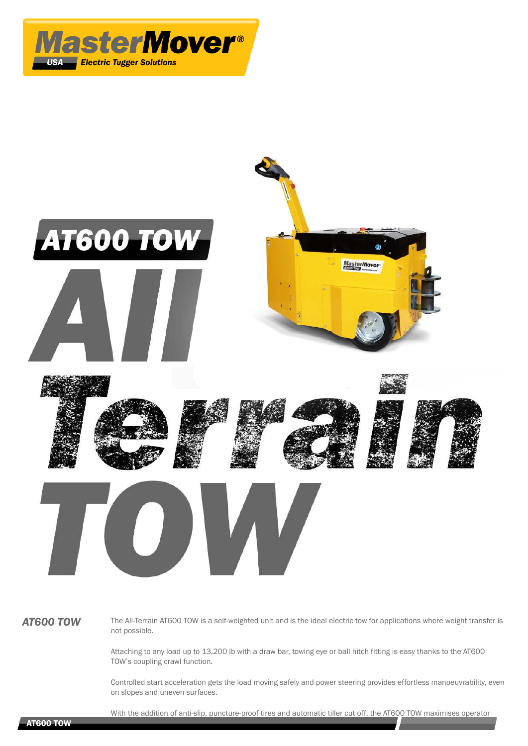



AT600 TOW The All-Terrain AT600 TOW is a self-weighted unit and is the ideal electric tow for applications where weight transfer is not possible.

> Attaching to any load up to 13,200 lb with a draw bar, towing eye or ball hitch fitting is easy thanks to the AT600 TOW's coupling crawl function.

Controlled start acceleration gets the load moving safely and power steering provides effortless manoeuvrability, even on slopes and uneven surfaces.

With the addition of anti-slip, puncture-proof tires and automatic tiller cut off, the AT600 TOW maximises operator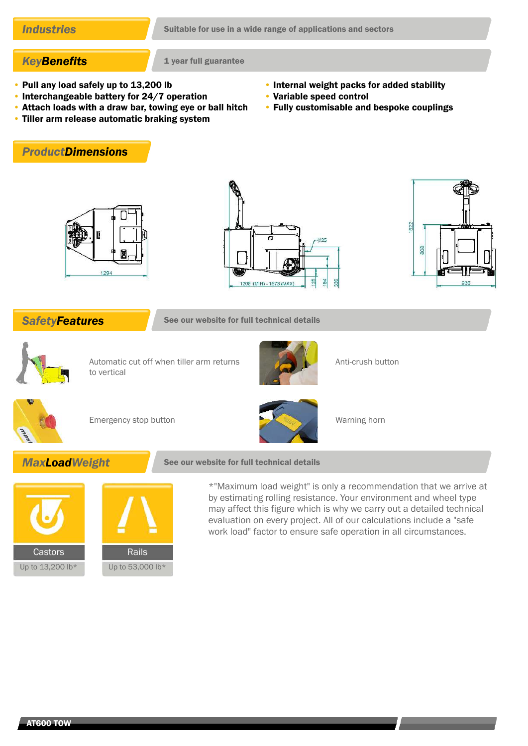# **KeyBenefits** 1 year full guarantee

- Pull any load safely up to 13,200 lb
- Interchangeable battery for 24/7 operation
- Attach loads with a draw bar, towing eye or ball hitch
- Tiller arm release automatic braking system
- Internal weight packs for added stability
- Variable speed control
- Fully customisable and bespoke couplings









**SafetyFeatures** See our website for full technical details



Automatic cut off when tiller arm returns to vertical



Anti-crush button



Emergency stop button Warning horn



# **MaxLoadWeight** See our website for full technical details



\*"Maximum load weight" is only a recommendation that we arrive at by estimating rolling resistance. Your environment and wheel type may affect this figure which is why we carry out a detailed technical evaluation on every project. All of our calculations include a "safe work load" factor to ensure safe operation in all circumstances.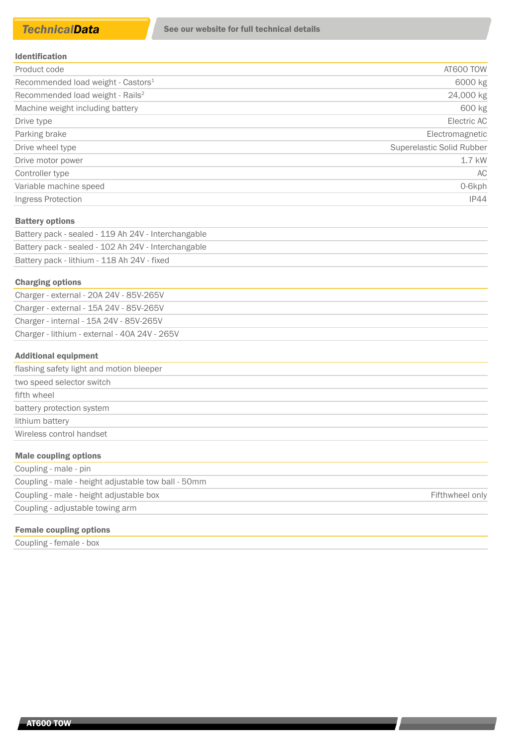| <b>Identification</b> |
|-----------------------|
|-----------------------|

| Product code                                   | AT600 TOW                 |
|------------------------------------------------|---------------------------|
| Recommended load weight - Castors <sup>1</sup> | 6000 kg                   |
| Recommended load weight - Rails <sup>2</sup>   | 24,000 kg                 |
| Machine weight including battery               | 600 kg                    |
| Drive type                                     | Electric AC               |
| Parking brake                                  | Electromagnetic           |
| Drive wheel type                               | Superelastic Solid Rubber |
| Drive motor power                              | 1.7 kW                    |
| Controller type                                | AC                        |
| Variable machine speed                         | 0-6kph                    |
| Ingress Protection                             | IP44                      |

### Battery options

| Battery pack - sealed - 119 Ah 24V - Interchangable |
|-----------------------------------------------------|
| Battery pack - sealed - 102 Ah 24V - Interchangable |
| Battery pack - lithium - 118 Ah 24V - fixed         |

### Charging options

| Charger - external - 20A 24V - 85V-265V       |
|-----------------------------------------------|
| Charger - external - 15A 24V - 85V-265V       |
| Charger - internal - 15A 24V - 85V-265V       |
| Charger - lithium - external - 40A 24V - 265V |
|                                               |

### Additional equipment

| flashing safety light and motion bleeper |
|------------------------------------------|
| two speed selector switch                |
| fifth wheel                              |
| battery protection system                |
| lithium battery                          |
| Wireless control handset                 |
| Male coupling options                    |
|                                          |

| Coupling - male - pin                               |                 |
|-----------------------------------------------------|-----------------|
| Coupling - male - height adjustable tow ball - 50mm |                 |
| Coupling - male - height adjustable box             | Fifthwheel only |
| Coupling - adjustable towing arm                    |                 |
|                                                     |                 |

# Female coupling options

Coupling - female - box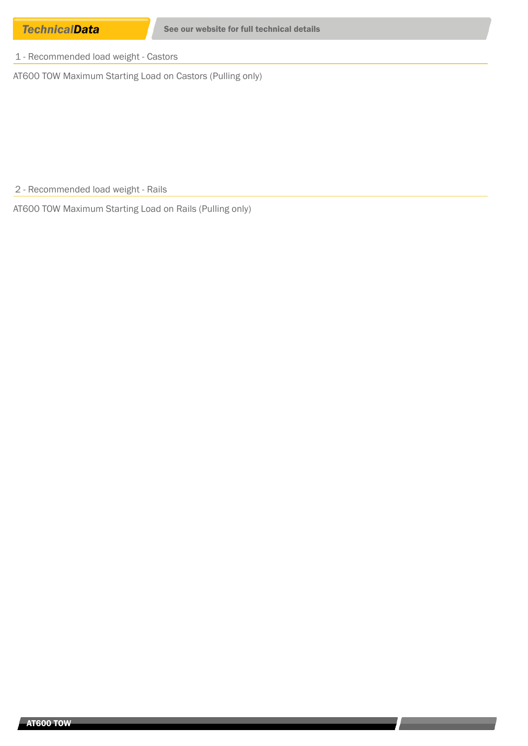1 - Recommended load weight - Castors

AT600 TOW Maximum Starting Load on Castors (Pulling only)

2 - Recommended load weight - Rails

AT600 TOW Maximum Starting Load on Rails (Pulling only)